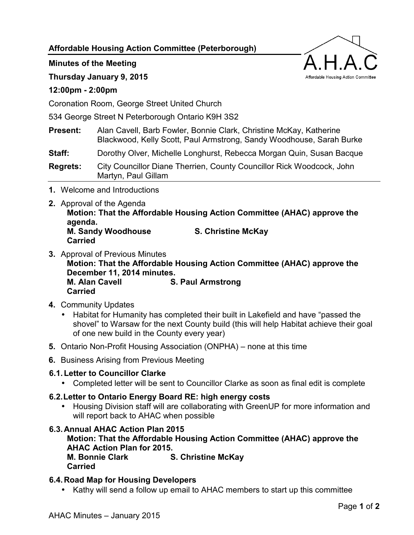**Affordable Housing Action Committee (Peterborough)** 

**Minutes of the Meeting** 

**Thursday January 9, 2015** 

## **12:00pm - 2:00pm**

Coronation Room, George Street United Church

534 George Street N Peterborough Ontario K9H 3S2

**Present:** Alan Cavell, Barb Fowler, Bonnie Clark, Christine McKay, Katherine Blackwood, Kelly Scott, Paul Armstrong, Sandy Woodhouse, Sarah Burke

**Staff:** Dorothy Olver, Michelle Longhurst, Rebecca Morgan Quin, Susan Bacque

**Regrets:** City Councillor Diane Therrien, County Councillor Rick Woodcock, John Martyn, Paul Gillam

- **1.** Welcome and Introductions
- **2.** Approval of the Agenda

**Motion: That the Affordable Housing Action Committee (AHAC) approve the agenda. M. Sandy Woodhouse S. Christine McKay** 

**Carried** 

- **3.** Approval of Previous Minutes **Motion: That the Affordable Housing Action Committee (AHAC) approve the December 11, 2014 minutes. M. Alan Cavell S. Paul Armstrong Carried**
- **4.** Community Updates
	- Habitat for Humanity has completed their built in Lakefield and have "passed the shovel" to Warsaw for the next County build (this will help Habitat achieve their goal of one new build in the County every year)
- **5.** Ontario Non-Profit Housing Association (ONPHA) none at this time
- **6.** Business Arising from Previous Meeting

### **6.1. Letter to Councillor Clarke**

• Completed letter will be sent to Councillor Clarke as soon as final edit is complete

# **6.2. Letter to Ontario Energy Board RE: high energy costs**

• Housing Division staff will are collaborating with GreenUP for more information and will report back to AHAC when possible

# **6.3. Annual AHAC Action Plan 2015**

**Motion: That the Affordable Housing Action Committee (AHAC) approve the AHAC Action Plan for 2015. M. Bonnie Clark S. Christine McKay Carried** 

### **6.4. Road Map for Housing Developers**

• Kathy will send a follow up email to AHAC members to start up this committee